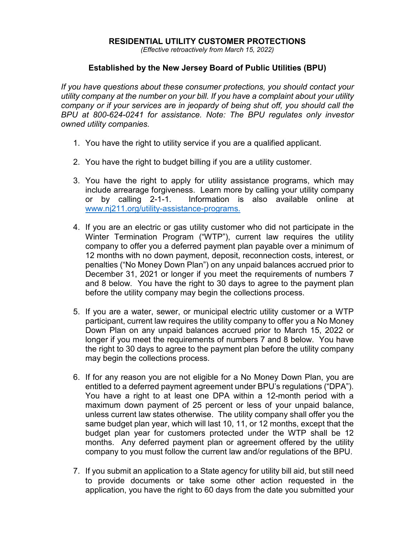## **RESIDENTIAL UTILITY CUSTOMER PROTECTIONS**

*(Effective retroactively from March 15, 2022)*

## **Established by the New Jersey Board of Public Utilities (BPU)**

*If you have questions about these consumer protections, you should contact your utility company at the number on your bill. If you have a complaint about your utility company or if your services are in jeopardy of being shut off, you should call the BPU at 800-624-0241 for assistance. Note: The BPU regulates only investor owned utility companies.*

- 1. You have the right to utility service if you are a qualified applicant.
- 2. You have the right to budget billing if you are a utility customer.
- 3. You have the right to apply for utility assistance programs, which may include arrearage forgiveness. Learn more by calling your utility company or by calling 2-1-1. Information is also available online at [www.nj211.org/utility-assistance-programs.](http://www.nj211.org/utility-assistance-programs)
- 4. If you are an electric or gas utility customer who did not participate in the Winter Termination Program ("WTP"), current law requires the utility company to offer you a deferred payment plan payable over a minimum of 12 months with no down payment, deposit, reconnection costs, interest, or penalties ("No Money Down Plan") on any unpaid balances accrued prior to December 31, 2021 or longer if you meet the requirements of numbers 7 and 8 below. You have the right to 30 days to agree to the payment plan before the utility company may begin the collections process.
- 5. If you are a water, sewer, or municipal electric utility customer or a WTP participant, current law requires the utility company to offer you a No Money Down Plan on any unpaid balances accrued prior to March 15, 2022 or longer if you meet the requirements of numbers 7 and 8 below. You have the right to 30 days to agree to the payment plan before the utility company may begin the collections process.
- 6. If for any reason you are not eligible for a No Money Down Plan, you are entitled to a deferred payment agreement under BPU's regulations ("DPA"). You have a right to at least one DPA within a 12-month period with a maximum down payment of 25 percent or less of your unpaid balance, unless current law states otherwise. The utility company shall offer you the same budget plan year, which will last 10, 11, or 12 months, except that the budget plan year for customers protected under the WTP shall be 12 months. Any deferred payment plan or agreement offered by the utility company to you must follow the current law and/or regulations of the BPU.
- 7. If you submit an application to a State agency for utility bill aid, but still need to provide documents or take some other action requested in the application, you have the right to 60 days from the date you submitted your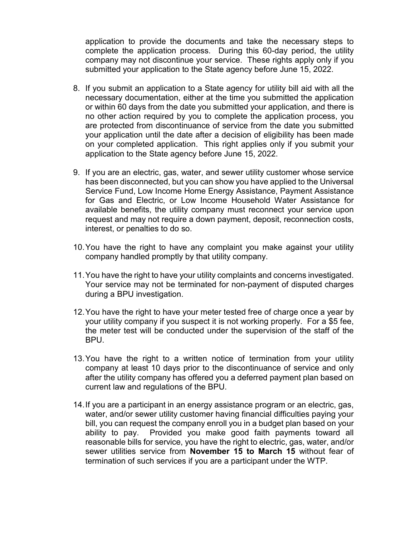application to provide the documents and take the necessary steps to complete the application process. During this 60-day period, the utility company may not discontinue your service. These rights apply only if you submitted your application to the State agency before June 15, 2022.

- 8. If you submit an application to a State agency for utility bill aid with all the necessary documentation, either at the time you submitted the application or within 60 days from the date you submitted your application, and there is no other action required by you to complete the application process, you are protected from discontinuance of service from the date you submitted your application until the date after a decision of eligibility has been made on your completed application. This right applies only if you submit your application to the State agency before June 15, 2022.
- 9. If you are an electric, gas, water, and sewer utility customer whose service has been disconnected, but you can show you have applied to the Universal Service Fund, Low Income Home Energy Assistance, Payment Assistance for Gas and Electric, or Low Income Household Water Assistance for available benefits, the utility company must reconnect your service upon request and may not require a down payment, deposit, reconnection costs, interest, or penalties to do so.
- 10.You have the right to have any complaint you make against your utility company handled promptly by that utility company.
- 11.You have the right to have your utility complaints and concerns investigated. Your service may not be terminated for non-payment of disputed charges during a BPU investigation.
- 12.You have the right to have your meter tested free of charge once a year by your utility company if you suspect it is not working properly. For a \$5 fee, the meter test will be conducted under the supervision of the staff of the BPU.
- 13.You have the right to a written notice of termination from your utility company at least 10 days prior to the discontinuance of service and only after the utility company has offered you a deferred payment plan based on current law and regulations of the BPU.
- 14.If you are a participant in an energy assistance program or an electric, gas, water, and/or sewer utility customer having financial difficulties paying your bill, you can request the company enroll you in a budget plan based on your ability to pay. Provided you make good faith payments toward all reasonable bills for service, you have the right to electric, gas, water, and/or sewer utilities service from **November 15 to March 15** without fear of termination of such services if you are a participant under the WTP.